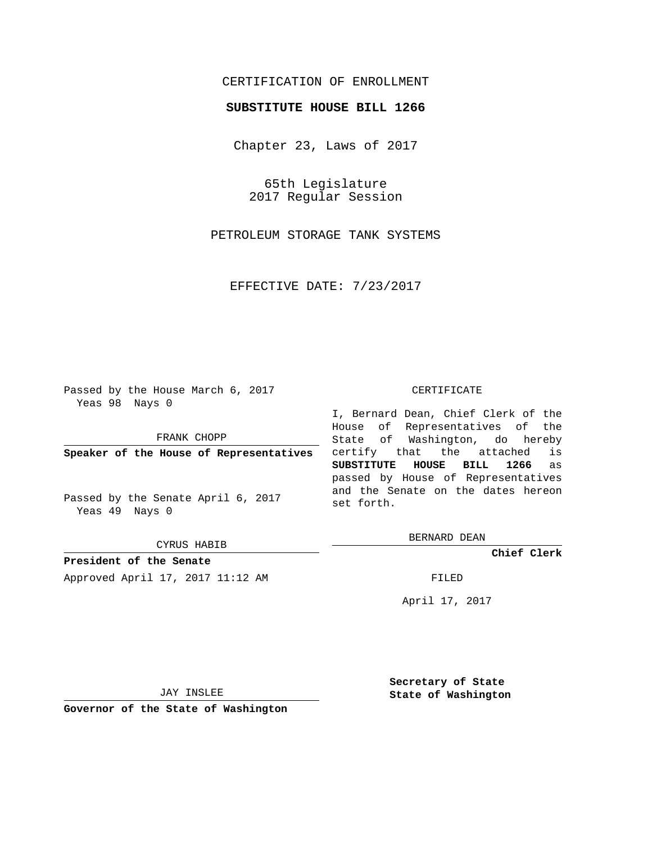## CERTIFICATION OF ENROLLMENT

## **SUBSTITUTE HOUSE BILL 1266**

Chapter 23, Laws of 2017

65th Legislature 2017 Regular Session

PETROLEUM STORAGE TANK SYSTEMS

EFFECTIVE DATE: 7/23/2017

Passed by the House March 6, 2017 Yeas 98 Nays 0

FRANK CHOPP

**Speaker of the House of Representatives**

Passed by the Senate April 6, 2017 Yeas 49 Nays 0

CYRUS HABIB

**President of the Senate** Approved April 17, 2017 11:12 AM FILED

## CERTIFICATE

I, Bernard Dean, Chief Clerk of the House of Representatives of the State of Washington, do hereby certify that the attached is **SUBSTITUTE HOUSE BILL 1266** as passed by House of Representatives and the Senate on the dates hereon set forth.

BERNARD DEAN

**Chief Clerk**

April 17, 2017

JAY INSLEE

**Governor of the State of Washington**

**Secretary of State State of Washington**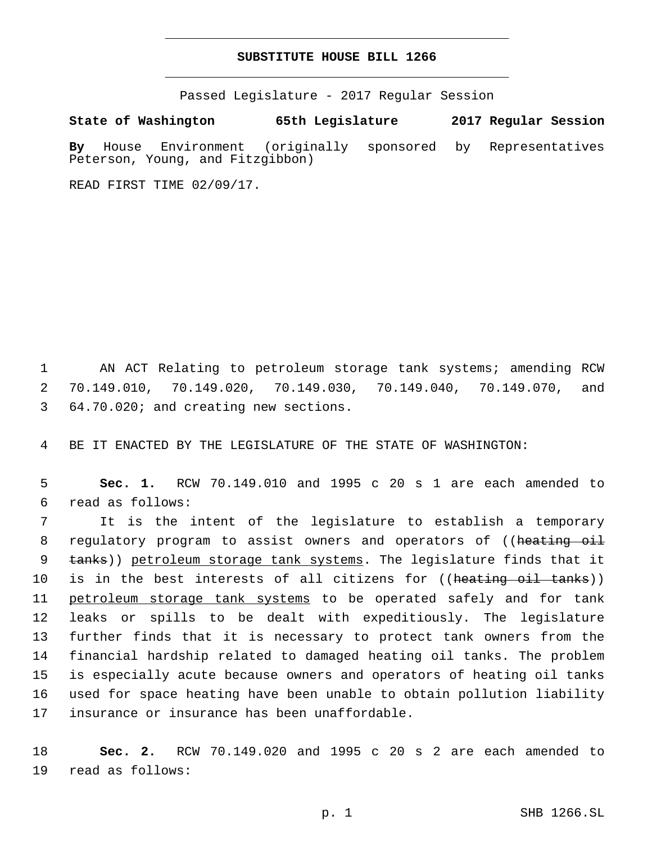## **SUBSTITUTE HOUSE BILL 1266**

Passed Legislature - 2017 Regular Session

**State of Washington 65th Legislature 2017 Regular Session**

**By** House Environment (originally sponsored by Representatives Peterson, Young, and Fitzgibbon)

READ FIRST TIME 02/09/17.

1 AN ACT Relating to petroleum storage tank systems; amending RCW 2 70.149.010, 70.149.020, 70.149.030, 70.149.040, 70.149.070, and 64.70.020; and creating new sections.3

4 BE IT ENACTED BY THE LEGISLATURE OF THE STATE OF WASHINGTON:

5 **Sec. 1.** RCW 70.149.010 and 1995 c 20 s 1 are each amended to read as follows:6

7 It is the intent of the legislature to establish a temporary 8 regulatory program to assist owners and operators of ((heating oil 9 tanks)) petroleum storage tank systems. The legislature finds that it 10 is in the best interests of all citizens for ((heating oil tanks)) 11 petroleum storage tank systems to be operated safely and for tank 12 leaks or spills to be dealt with expeditiously. The legislature 13 further finds that it is necessary to protect tank owners from the 14 financial hardship related to damaged heating oil tanks. The problem 15 is especially acute because owners and operators of heating oil tanks 16 used for space heating have been unable to obtain pollution liability 17 insurance or insurance has been unaffordable.

18 **Sec. 2.** RCW 70.149.020 and 1995 c 20 s 2 are each amended to 19 read as follows: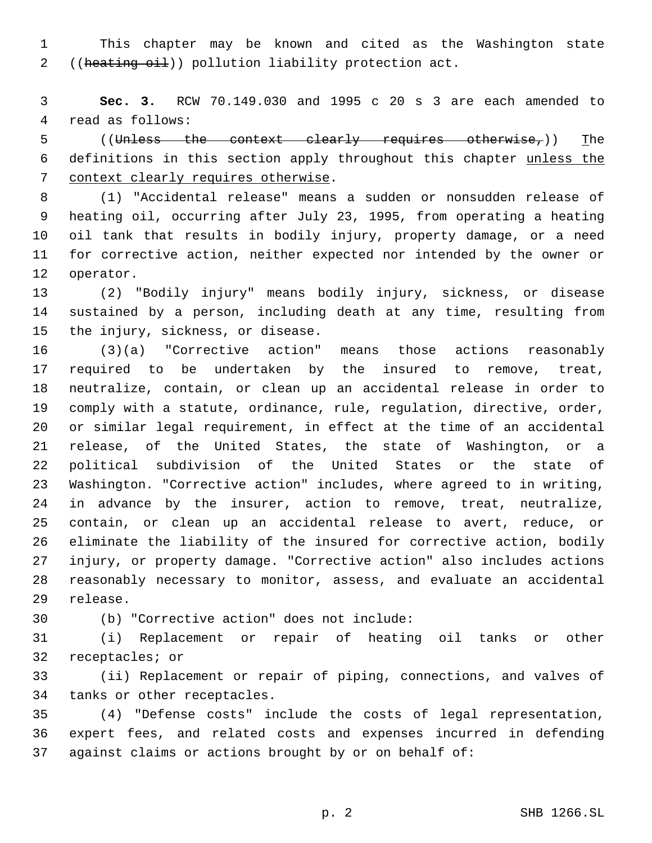This chapter may be known and cited as the Washington state 2 ((heating oil)) pollution liability protection act.

 **Sec. 3.** RCW 70.149.030 and 1995 c 20 s 3 are each amended to 4 read as follows:

 ((Unless the context clearly requires otherwise,)) The definitions in this section apply throughout this chapter unless the 7 context clearly requires otherwise.

 (1) "Accidental release" means a sudden or nonsudden release of heating oil, occurring after July 23, 1995, from operating a heating oil tank that results in bodily injury, property damage, or a need for corrective action, neither expected nor intended by the owner or 12 operator.

 (2) "Bodily injury" means bodily injury, sickness, or disease sustained by a person, including death at any time, resulting from 15 the injury, sickness, or disease.

 (3)(a) "Corrective action" means those actions reasonably required to be undertaken by the insured to remove, treat, neutralize, contain, or clean up an accidental release in order to comply with a statute, ordinance, rule, regulation, directive, order, or similar legal requirement, in effect at the time of an accidental release, of the United States, the state of Washington, or a political subdivision of the United States or the state of Washington. "Corrective action" includes, where agreed to in writing, in advance by the insurer, action to remove, treat, neutralize, contain, or clean up an accidental release to avert, reduce, or eliminate the liability of the insured for corrective action, bodily injury, or property damage. "Corrective action" also includes actions reasonably necessary to monitor, assess, and evaluate an accidental 29 release.

(b) "Corrective action" does not include:30

 (i) Replacement or repair of heating oil tanks or other 32 receptacles; or

 (ii) Replacement or repair of piping, connections, and valves of 34 tanks or other receptacles.

 (4) "Defense costs" include the costs of legal representation, expert fees, and related costs and expenses incurred in defending against claims or actions brought by or on behalf of: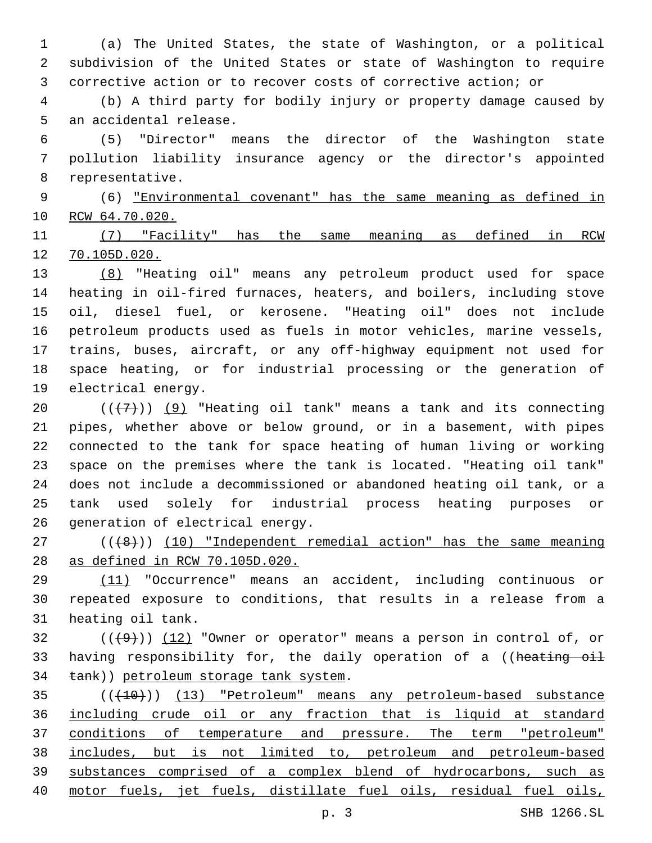(a) The United States, the state of Washington, or a political subdivision of the United States or state of Washington to require corrective action or to recover costs of corrective action; or

 (b) A third party for bodily injury or property damage caused by 5 an accidental release.

 (5) "Director" means the director of the Washington state pollution liability insurance agency or the director's appointed 8 representative.

 (6) "Environmental covenant" has the same meaning as defined in 10 RCW 64.70.020.

 (7) "Facility" has the same meaning as defined in RCW 70.105D.020.

 (8) "Heating oil" means any petroleum product used for space heating in oil-fired furnaces, heaters, and boilers, including stove oil, diesel fuel, or kerosene. "Heating oil" does not include petroleum products used as fuels in motor vehicles, marine vessels, trains, buses, aircraft, or any off-highway equipment not used for space heating, or for industrial processing or the generation of 19 electrical energy.

 $((+7+))$  (9) "Heating oil tank" means a tank and its connecting pipes, whether above or below ground, or in a basement, with pipes connected to the tank for space heating of human living or working space on the premises where the tank is located. "Heating oil tank" does not include a decommissioned or abandoned heating oil tank, or a tank used solely for industrial process heating purposes or 26 generation of electrical energy.

 ( $(\overline{+8})$ ) (10) "Independent remedial action" has the same meaning as defined in RCW 70.105D.020.

 (11) "Occurrence" means an accident, including continuous or repeated exposure to conditions, that results in a release from a 31 heating oil tank.

 ( $(\frac{49}{})$ ) (12) "Owner or operator" means a person in control of, or 33 having responsibility for, the daily operation of a ((heating oil 34 tank)) petroleum storage tank system.

 (((10))) (13) "Petroleum" means any petroleum-based substance including crude oil or any fraction that is liquid at standard conditions of temperature and pressure. The term "petroleum" includes, but is not limited to, petroleum and petroleum-based substances comprised of a complex blend of hydrocarbons, such as motor fuels, jet fuels, distillate fuel oils, residual fuel oils,

p. 3 SHB 1266.SL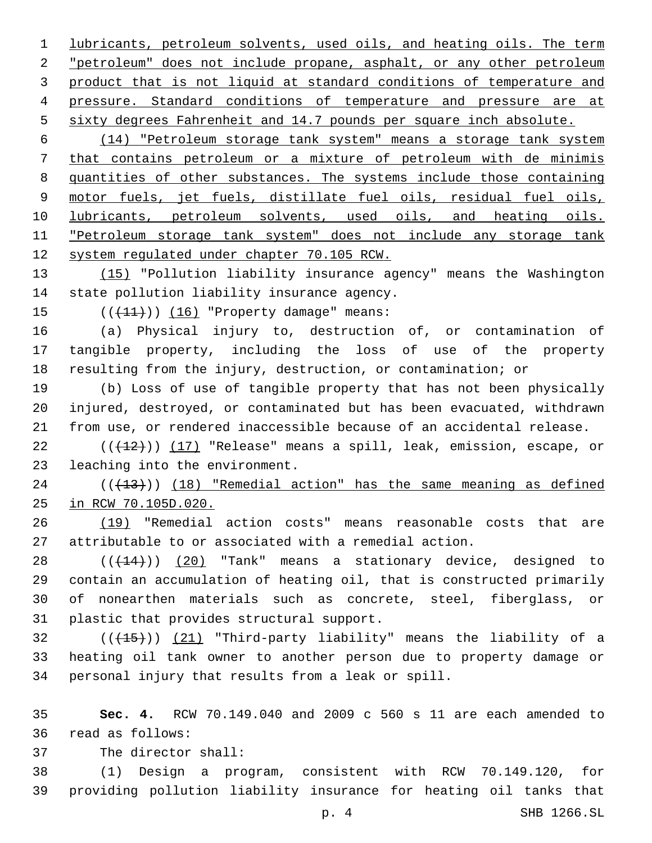lubricants, petroleum solvents, used oils, and heating oils. The term "petroleum" does not include propane, asphalt, or any other petroleum product that is not liquid at standard conditions of temperature and pressure. Standard conditions of temperature and pressure are at sixty degrees Fahrenheit and 14.7 pounds per square inch absolute.

 (14) "Petroleum storage tank system" means a storage tank system that contains petroleum or a mixture of petroleum with de minimis quantities of other substances. The systems include those containing 9 motor fuels, jet fuels, distillate fuel oils, residual fuel oils, lubricants, petroleum solvents, used oils, and heating oils. "Petroleum storage tank system" does not include any storage tank system regulated under chapter 70.105 RCW.

13 (15) "Pollution liability insurance agency" means the Washington 14 state pollution liability insurance agency.

15 (((+11)) (16) "Property damage" means:

 (a) Physical injury to, destruction of, or contamination of tangible property, including the loss of use of the property resulting from the injury, destruction, or contamination; or

 (b) Loss of use of tangible property that has not been physically injured, destroyed, or contaminated but has been evacuated, withdrawn from use, or rendered inaccessible because of an accidental release.

22 (((+12))) (17) "Release" means a spill, leak, emission, escape, or 23 leaching into the environment.

 ( $(\overline{+13})$ )  $(18)$  "Remedial action" has the same meaning as defined in RCW 70.105D.020.

 (19) "Remedial action costs" means reasonable costs that are attributable to or associated with a remedial action.

28 (( $(14)$ )) (20) "Tank" means a stationary device, designed to contain an accumulation of heating oil, that is constructed primarily of nonearthen materials such as concrete, steel, fiberglass, or 31 plastic that provides structural support.

32 (( $(15)$ )) (21) "Third-party liability" means the liability of a heating oil tank owner to another person due to property damage or personal injury that results from a leak or spill.

 **Sec. 4.** RCW 70.149.040 and 2009 c 560 s 11 are each amended to 36 read as follows:

37 The director shall:

 (1) Design a program, consistent with RCW 70.149.120, for providing pollution liability insurance for heating oil tanks that

p. 4 SHB 1266.SL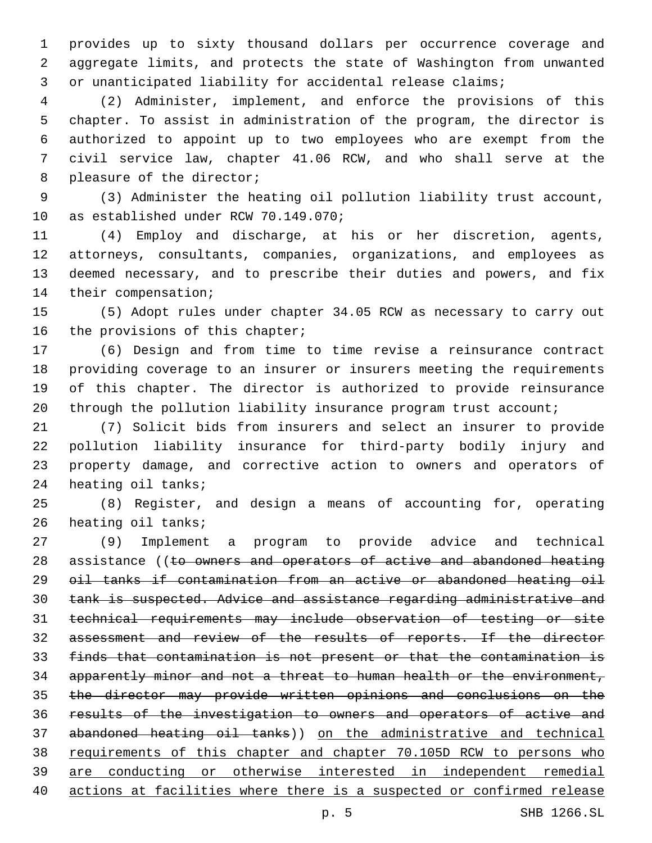provides up to sixty thousand dollars per occurrence coverage and aggregate limits, and protects the state of Washington from unwanted or unanticipated liability for accidental release claims;

 (2) Administer, implement, and enforce the provisions of this chapter. To assist in administration of the program, the director is authorized to appoint up to two employees who are exempt from the civil service law, chapter 41.06 RCW, and who shall serve at the 8 pleasure of the director;

 (3) Administer the heating oil pollution liability trust account, 10 as established under RCW 70.149.070;

 (4) Employ and discharge, at his or her discretion, agents, attorneys, consultants, companies, organizations, and employees as deemed necessary, and to prescribe their duties and powers, and fix 14 their compensation;

 (5) Adopt rules under chapter 34.05 RCW as necessary to carry out 16 the provisions of this chapter;

 (6) Design and from time to time revise a reinsurance contract providing coverage to an insurer or insurers meeting the requirements of this chapter. The director is authorized to provide reinsurance 20 through the pollution liability insurance program trust account;

 (7) Solicit bids from insurers and select an insurer to provide pollution liability insurance for third-party bodily injury and property damage, and corrective action to owners and operators of 24 heating oil tanks;

 (8) Register, and design a means of accounting for, operating 26 heating oil tanks;

 (9) Implement a program to provide advice and technical 28 assistance ((to owners and operators of active and abandoned heating oil tanks if contamination from an active or abandoned heating oil tank is suspected. Advice and assistance regarding administrative and technical requirements may include observation of testing or site assessment and review of the results of reports. If the director finds that contamination is not present or that the contamination is apparently minor and not a threat to human health or the environment, the director may provide written opinions and conclusions on the results of the investigation to owners and operators of active and abandoned heating oil tanks)) on the administrative and technical 38 requirements of this chapter and chapter 70.105D RCW to persons who are conducting or otherwise interested in independent remedial actions at facilities where there is a suspected or confirmed release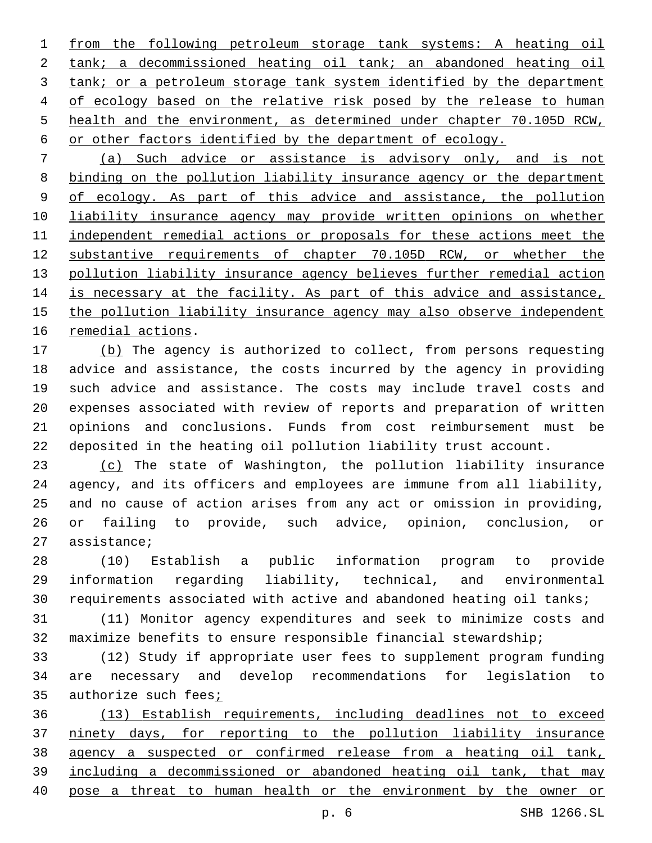from the following petroleum storage tank systems: A heating oil tank; a decommissioned heating oil tank; an abandoned heating oil tank; or a petroleum storage tank system identified by the department of ecology based on the relative risk posed by the release to human health and the environment, as determined under chapter 70.105D RCW, or other factors identified by the department of ecology.

 (a) Such advice or assistance is advisory only, and is not binding on the pollution liability insurance agency or the department of ecology. As part of this advice and assistance, the pollution liability insurance agency may provide written opinions on whether independent remedial actions or proposals for these actions meet the substantive requirements of chapter 70.105D RCW, or whether the pollution liability insurance agency believes further remedial action is necessary at the facility. As part of this advice and assistance, the pollution liability insurance agency may also observe independent 16 remedial actions.

17 (b) The agency is authorized to collect, from persons requesting advice and assistance, the costs incurred by the agency in providing such advice and assistance. The costs may include travel costs and expenses associated with review of reports and preparation of written opinions and conclusions. Funds from cost reimbursement must be deposited in the heating oil pollution liability trust account.

 (c) The state of Washington, the pollution liability insurance agency, and its officers and employees are immune from all liability, and no cause of action arises from any act or omission in providing, or failing to provide, such advice, opinion, conclusion, or 27 assistance;

 (10) Establish a public information program to provide information regarding liability, technical, and environmental requirements associated with active and abandoned heating oil tanks;

 (11) Monitor agency expenditures and seek to minimize costs and maximize benefits to ensure responsible financial stewardship;

 (12) Study if appropriate user fees to supplement program funding are necessary and develop recommendations for legislation to 35 authorize such fees<sub>i</sub>

 (13) Establish requirements, including deadlines not to exceed ninety days, for reporting to the pollution liability insurance agency a suspected or confirmed release from a heating oil tank, including a decommissioned or abandoned heating oil tank, that may pose a threat to human health or the environment by the owner or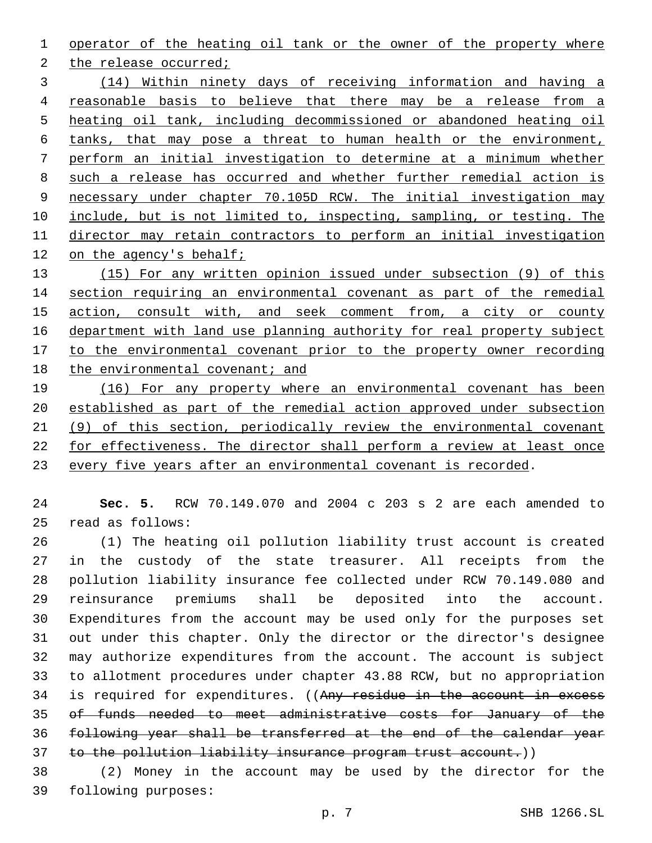operator of the heating oil tank or the owner of the property where

2 the release occurred;

 (14) Within ninety days of receiving information and having a reasonable basis to believe that there may be a release from a heating oil tank, including decommissioned or abandoned heating oil tanks, that may pose a threat to human health or the environment, perform an initial investigation to determine at a minimum whether such a release has occurred and whether further remedial action is necessary under chapter 70.105D RCW. The initial investigation may include, but is not limited to, inspecting, sampling, or testing. The director may retain contractors to perform an initial investigation 12 on the agency's behalf;

 (15) For any written opinion issued under subsection (9) of this section requiring an environmental covenant as part of the remedial action, consult with, and seek comment from, a city or county department with land use planning authority for real property subject to the environmental covenant prior to the property owner recording 18 the environmental covenant; and

19 (16) For any property where an environmental covenant has been established as part of the remedial action approved under subsection (9) of this section, periodically review the environmental covenant for effectiveness. The director shall perform a review at least once every five years after an environmental covenant is recorded.

 **Sec. 5.** RCW 70.149.070 and 2004 c 203 s 2 are each amended to read as follows:25

 (1) The heating oil pollution liability trust account is created in the custody of the state treasurer. All receipts from the pollution liability insurance fee collected under RCW 70.149.080 and reinsurance premiums shall be deposited into the account. Expenditures from the account may be used only for the purposes set out under this chapter. Only the director or the director's designee may authorize expenditures from the account. The account is subject to allotment procedures under chapter 43.88 RCW, but no appropriation 34 is required for expenditures. ((Any residue in the account in excess of funds needed to meet administrative costs for January of the following year shall be transferred at the end of the calendar year to the pollution liability insurance program trust account.))

 (2) Money in the account may be used by the director for the 39 following purposes: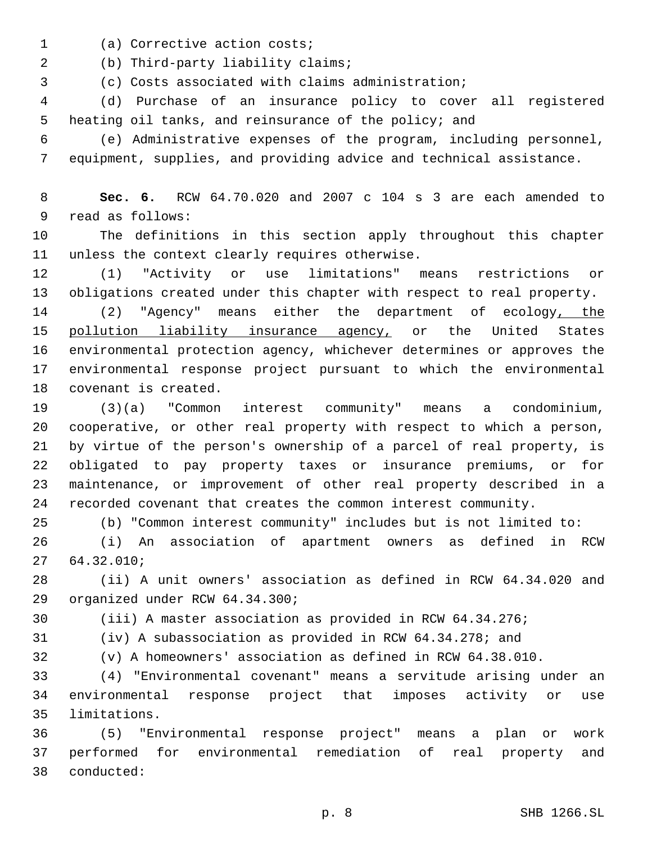- 1 (a) Corrective action costs;
- 2 (b) Third-party liability claims;

(c) Costs associated with claims administration;

 (d) Purchase of an insurance policy to cover all registered heating oil tanks, and reinsurance of the policy; and

 (e) Administrative expenses of the program, including personnel, equipment, supplies, and providing advice and technical assistance.

 **Sec. 6.** RCW 64.70.020 and 2007 c 104 s 3 are each amended to 9 read as follows:

 The definitions in this section apply throughout this chapter 11 unless the context clearly requires otherwise.

 (1) "Activity or use limitations" means restrictions or obligations created under this chapter with respect to real property.

 (2) "Agency" means either the department of ecology, the 15 pollution liability insurance agency, or the United States environmental protection agency, whichever determines or approves the environmental response project pursuant to which the environmental 18 covenant is created.

 (3)(a) "Common interest community" means a condominium, cooperative, or other real property with respect to which a person, by virtue of the person's ownership of a parcel of real property, is obligated to pay property taxes or insurance premiums, or for maintenance, or improvement of other real property described in a recorded covenant that creates the common interest community.

(b) "Common interest community" includes but is not limited to:

 (i) An association of apartment owners as defined in RCW 64.32.010;27

 (ii) A unit owners' association as defined in RCW 64.34.020 and 29 organized under RCW 64.34.300;

(iii) A master association as provided in RCW 64.34.276;

(iv) A subassociation as provided in RCW 64.34.278; and

(v) A homeowners' association as defined in RCW 64.38.010.

 (4) "Environmental covenant" means a servitude arising under an environmental response project that imposes activity or use 35 limitations.

 (5) "Environmental response project" means a plan or work performed for environmental remediation of real property and conducted:38